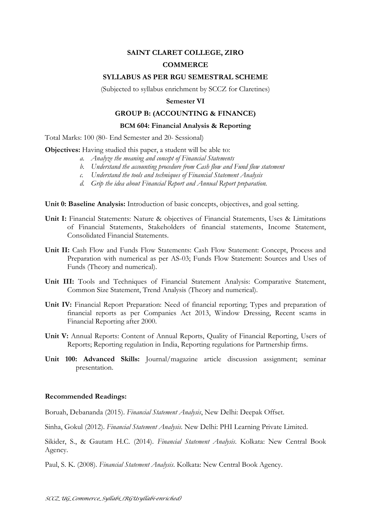# **SAINT CLARET COLLEGE, ZIRO**

## **COMMERCE**

### **SYLLABUS AS PER RGU SEMESTRAL SCHEME**

(Subjected to syllabus enrichment by SCCZ for Claretines)

#### **Semester VI**

## **GROUP B: (ACCOUNTING & FINANCE)**

#### **BCM 604: Financial Analysis & Reporting**

Total Marks: 100 (80- End Semester and 20- Sessional)

**Objectives:** Having studied this paper, a student will be able to:

- *a. Analyze the meaning and concept of Financial Statements*
- *b. Understand the accounting procedure from Cash flow and Fund flow statement*
- *c. Understand the tools and techniques of Financial Statement Analysis*
- *d. Grip the idea about Financial Report and Annual Report preparation.*

**Unit 0: Baseline Analysis:** Introduction of basic concepts, objectives, and goal setting.

- **Unit I:** Financial Statements: Nature & objectives of Financial Statements, Uses & Limitations of Financial Statements, Stakeholders of financial statements, Income Statement, Consolidated Financial Statements.
- **Unit II:** Cash Flow and Funds Flow Statements: Cash Flow Statement: Concept, Process and Preparation with numerical as per AS-03; Funds Flow Statement: Sources and Uses of Funds (Theory and numerical).
- **Unit III:** Tools and Techniques of Financial Statement Analysis: Comparative Statement, Common Size Statement, Trend Analysis (Theory and numerical).
- **Unit IV:** Financial Report Preparation: Need of financial reporting; Types and preparation of financial reports as per Companies Act 2013, Window Dressing, Recent scams in Financial Reporting after 2000.
- **Unit V:** Annual Reports: Content of Annual Reports, Quality of Financial Reporting, Users of Reports; Reporting regulation in India, Reporting regulations for Partnership firms.
- **Unit 100: Advanced Skills:** Journal/magazine article discussion assignment; seminar presentation.

#### **Recommended Readings:**

Boruah, Debananda (2015). *Financial Statement Analysis*, New Delhi: Deepak Offset.

Sinha, Gokul (2012). *Financial Statement Analysis*. New Delhi: PHI Learning Private Limited.

Sikider, S., & Gautam H.C. (2014). *Financial Statement Analysis*. Kolkata: New Central Book Agency.

Paul, S. K. (2008). *Financial Statement Analysis*. Kolkata: New Central Book Agency.